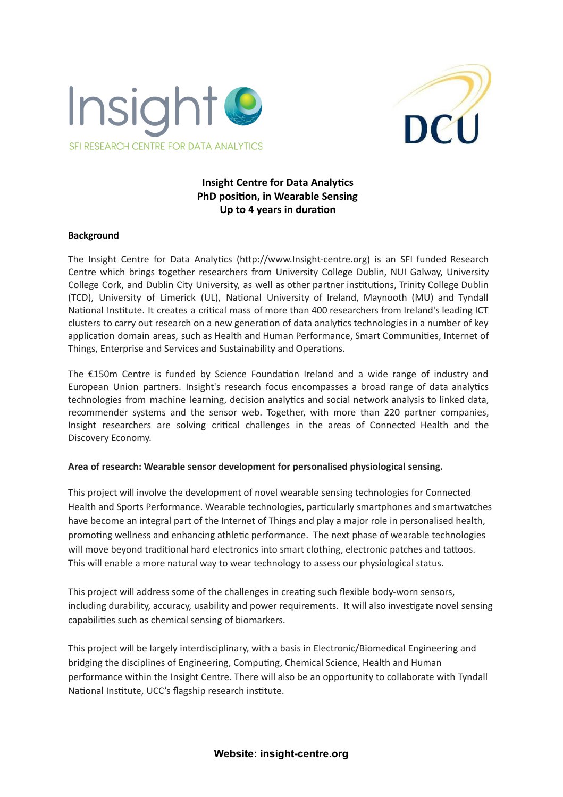



# **Insight Centre for Data Analytics PhD position, in Wearable Sensing Up to 4 years in duration**

#### **Background**

The Insight Centre for Data Analytics (http://www.Insight-centre.org) is an SFI funded Research Centre which brings together researchers from University College Dublin, NUI Galway, University College Cork, and Dublin City University, as well as other partner institutions, Trinity College Dublin (TCD), University of Limerick (UL), National University of Ireland, Maynooth (MU) and Tyndall National Institute. It creates a critical mass of more than 400 researchers from Ireland's leading ICT clusters to carry out research on a new generation of data analytics technologies in a number of key application domain areas, such as Health and Human Performance, Smart Communities, Internet of Things, Enterprise and Services and Sustainability and Operations.

The  $£150m$  Centre is funded by Science Foundation Ireland and a wide range of industry and European Union partners. Insight's research focus encompasses a broad range of data analytics technologies from machine learning, decision analytics and social network analysis to linked data, recommender systems and the sensor web. Together, with more than 220 partner companies, Insight researchers are solving critical challenges in the areas of Connected Health and the Discovery Economy.

#### **Area of research: Wearable sensor development for personalised physiological sensing.**

This project will involve the development of novel wearable sensing technologies for Connected Health and Sports Performance. Wearable technologies, particularly smartphones and smartwatches have become an integral part of the Internet of Things and play a major role in personalised health, promoting wellness and enhancing athletic performance. The next phase of wearable technologies will move beyond traditional hard electronics into smart clothing, electronic patches and tattoos. This will enable a more natural way to wear technology to assess our physiological status.

This project will address some of the challenges in creating such flexible body-worn sensors, including durability, accuracy, usability and power requirements. It will also investigate novel sensing capabilities such as chemical sensing of biomarkers.

This project will be largely interdisciplinary, with a basis in Electronic/Biomedical Engineering and bridging the disciplines of Engineering, Computing, Chemical Science, Health and Human performance within the Insight Centre. There will also be an opportunity to collaborate with Tyndall National Institute, UCC's flagship research institute.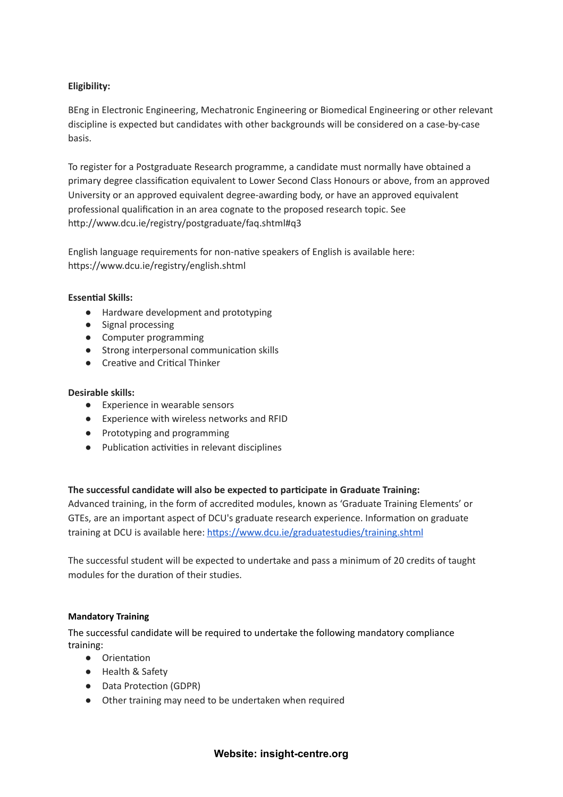# **Eligibility:**

BEng in Electronic Engineering, Mechatronic Engineering or Biomedical Engineering or other relevant discipline is expected but candidates with other backgrounds will be considered on a case-by-case basis.

To register for a Postgraduate Research programme, a candidate must normally have obtained a primary degree classification equivalent to Lower Second Class Honours or above, from an approved University or an approved equivalent degree-awarding body, or have an approved equivalent professional qualification in an area cognate to the proposed research topic. See http://www.dcu.ie/registry/postgraduate/faq.shtml#q3

English language requirements for non-native speakers of English is available here: https://www.dcu.ie/registry/english.shtml

### **Essential Skills:**

- Hardware development and prototyping
- Signal processing
- Computer programming
- Strong interpersonal communication skills
- Creative and Critical Thinker

## **Desirable skills:**

- Experience in wearable sensors
- Experience with wireless networks and RFID
- Prototyping and programming
- Publication activities in relevant disciplines

## **The successful candidate will also be expected to parcipate in Graduate Training:**

Advanced training, in the form of accredited modules, known as 'Graduate Training Elements' or GTEs, are an important aspect of DCU's graduate research experience. Information on graduate training at DCU is available here: https://www.dcu.ie/graduatestudies/training.shtml

The successful student will be expected to undertake and pass a minimum of 20 credits of taught modules for the duration of their studies.

#### **Mandatory Training**

The successful candidate will be required to undertake the following mandatory compliance training:

- Orientation
- Health & Safety
- Data Protection (GDPR)
- Other training may need to be undertaken when required